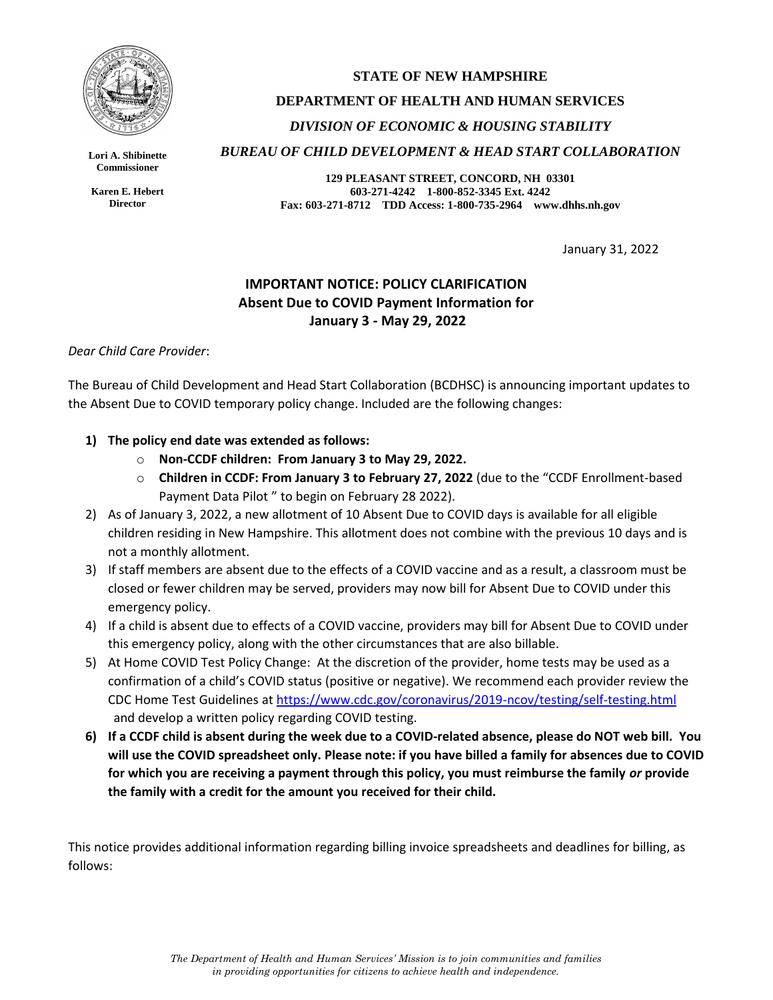

**Lori A. Shibinette Commissioner**

**Karen E. Hebert Director**

# **STATE OF NEW HAMPSHIRE DEPARTMENT OF HEALTH AND HUMAN SERVICES** *DIVISION OF ECONOMIC & HOUSING STABILITY BUREAU OF CHILD DEVELOPMENT & HEAD START COLLABORATION*

**129 PLEASANT STREET, CONCORD, NH 03301 603-271-4242 1-800-852-3345 Ext. 4242 Fax: 603-271-8712 TDD Access: 1-800-735-2964 www.dhhs.nh.gov**

January 31, 2022

## **IMPORTANT NOTICE: POLICY CLARIFICATION Absent Due to COVID Payment Information for January 3 - May 29, 2022**

### *Dear Child Care Provider*:

The Bureau of Child Development and Head Start Collaboration (BCDHSC) is announcing important updates to the Absent Due to COVID temporary policy change. Included are the following changes:

### **1) The policy end date was extended as follows:**

- o **Non-CCDF children: From January 3 to May 29, 2022.**
- o **Children in CCDF: From January 3 to February 27, 2022** (due to the "CCDF Enrollment-based Payment Data Pilot " to begin on February 28 2022).
- 2) As of January 3, 2022, a new allotment of 10 Absent Due to COVID days is available for all eligible children residing in New Hampshire. This allotment does not combine with the previous 10 days and is not a monthly allotment.
- 3) If staff members are absent due to the effects of a COVID vaccine and as a result, a classroom must be closed or fewer children may be served, providers may now bill for Absent Due to COVID under this emergency policy.
- 4) If a child is absent due to effects of a COVID vaccine, providers may bill for Absent Due to COVID under this emergency policy, along with the other circumstances that are also billable.
- 5) At Home COVID Test Policy Change: At the discretion of the provider, home tests may be used as a confirmation of a child's COVID status (positive or negative). We recommend each provider review the CDC Home Test Guidelines at<https://www.cdc.gov/coronavirus/2019-ncov/testing/self-testing.html> and develop a written policy regarding COVID testing.
- **6) If a CCDF child is absent during the week due to a COVID-related absence, please do NOT web bill. You will use the COVID spreadsheet only. Please note: if you have billed a family for absences due to COVID for which you are receiving a payment through this policy, you must reimburse the family** *or* **provide the family with a credit for the amount you received for their child.**

This notice provides additional information regarding billing invoice spreadsheets and deadlines for billing, as follows: